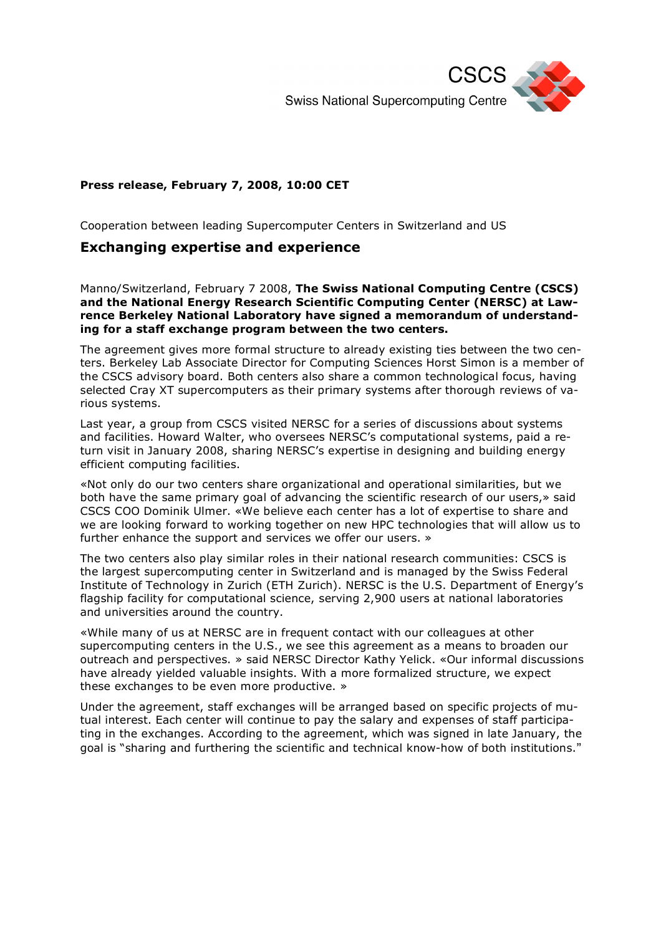

## **Press release, February 7, 2008, 10:00 CET**

Cooperation between leading Supercomputer Centers in Switzerland and US

## **Exchanging expertise and experience**

Manno/Switzerland, February 7 2008, **The Swiss National Computing Centre (CSCS) and the National Energy Research Scientific Computing Center (NERSC) at Lawrence Berkeley National Laboratory have signed a memorandum of understanding for a staff exchange program between the two centers.**

The agreement gives more formal structure to already existing ties between the two centers. Berkeley Lab Associate Director for Computing Sciences Horst Simon is a member of the CSCS advisory board. Both centers also share a common technological focus, having selected Cray XT supercomputers as their primary systems after thorough reviews of various systems.

Last year, a group from CSCS visited NERSC for a series of discussions about systems and facilities. Howard Walter, who oversees NERSC's computational systems, paid a return visit in January 2008, sharing NERSC's expertise in designing and building energy efficient computing facilities.

«Not only do our two centers share organizational and operational similarities, but we both have the same primary goal of advancing the scientific research of our users,» said CSCS COO Dominik Ulmer. «We believe each center has a lot of expertise to share and we are looking forward to working together on new HPC technologies that will allow us to further enhance the support and services we offer our users. »

The two centers also play similar roles in their national research communities: CSCS is the largest supercomputing center in Switzerland and is managed by the Swiss Federal Institute of Technology in Zurich (ETH Zurich). NERSC is the U.S. Department of Energy's flagship facility for computational science, serving 2,900 users at national laboratories and universities around the country.

«While many of us at NERSC are in frequent contact with our colleagues at other supercomputing centers in the U.S., we see this agreement as a means to broaden our outreach and perspectives. » said NERSC Director Kathy Yelick. «Our informal discussions have already yielded valuable insights. With a more formalized structure, we expect these exchanges to be even more productive. »

Under the agreement, staff exchanges will be arranged based on specific projects of mutual interest. Each center will continue to pay the salary and expenses of staff participating in the exchanges. According to the agreement, which was signed in late January, the goal is "sharing and furthering the scientific and technical know-how of both institutions."